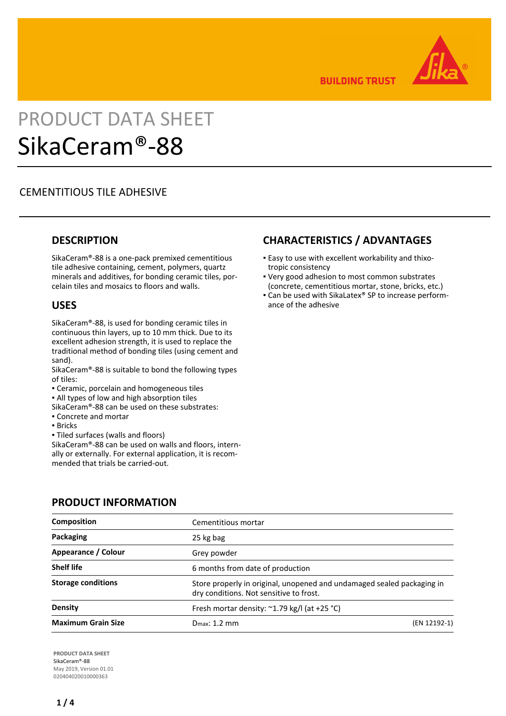

**BUILDING TRUST** 

# PRODUCT DATA SHEET SikaCeram®-88

# CEMENTITIOUS TILE ADHESIVE

# **DESCRIPTION**

SikaCeram®-88 is a one-pack premixed cementitious tile adhesive containing, cement, polymers, quartz minerals and additives, for bonding ceramic tiles, porcelain tiles and mosaics to floors and walls.

# **USES**

SikaCeram®-88, is used for bonding ceramic tiles in continuous thin layers, up to 10 mm thick. Due to its excellent adhesion strength, it is used to replace the traditional method of bonding tiles (using cement and sand).

SikaCeram®-88 is suitable to bond the following types of tiles:

- Ceramic, porcelain and homogeneous tiles
- **.** All types of low and high absorption tiles

SikaCeram®-88 can be used on these substrates:

- Concrete and mortar
- Bricks
- Tiled surfaces (walls and floors)

SikaCeram®-88 can be used on walls and floors, internally or externally. For external application, it is recommended that trials be carried-out.

# **CHARACTERISTICS / ADVANTAGES**

- Easy to use with excellent workability and thixo-▪ tropic consistency
- Very good adhesion to most common substrates (concrete, cementitious mortar, stone, bricks, etc.)
- Can be used with SikaLatex® SP to increase perform-▪ ance of the adhesive

| <b>Composition</b>        | Cementitious mortar                          |                                                                        |  |  |
|---------------------------|----------------------------------------------|------------------------------------------------------------------------|--|--|
| Packaging                 | 25 kg bag                                    |                                                                        |  |  |
| Appearance / Colour       | Grey powder                                  |                                                                        |  |  |
| <b>Shelf life</b>         | 6 months from date of production             |                                                                        |  |  |
| <b>Storage conditions</b> | dry conditions. Not sensitive to frost.      | Store properly in original, unopened and undamaged sealed packaging in |  |  |
| <b>Density</b>            | Fresh mortar density: ~1.79 kg/l (at +25 °C) |                                                                        |  |  |
| <b>Maximum Grain Size</b> | $D_{\text{max}}$ : 1.2 mm                    | (EN 12192-1)                                                           |  |  |

# **PRODUCT INFORMATION**

**PRODUCT DATA SHEET** SikaCeram®-88 May 2019, Version 01.01 020404020010000363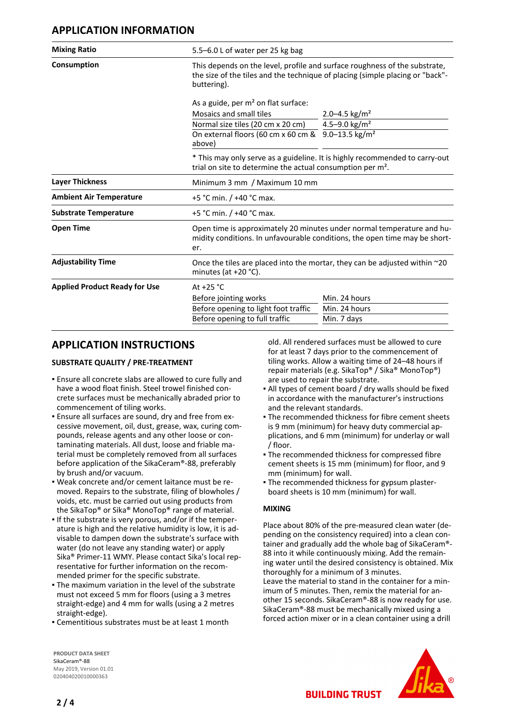# **APPLICATION INFORMATION**

| <b>Mixing Ratio</b>                                                                                                                                                                       | 5.5-6.0 L of water per 25 kg bag                                                                                                                            |                            |  |
|-------------------------------------------------------------------------------------------------------------------------------------------------------------------------------------------|-------------------------------------------------------------------------------------------------------------------------------------------------------------|----------------------------|--|
| Consumption<br>This depends on the level, profile and surface roughness of the substrate,<br>the size of the tiles and the technique of placing (simple placing or "back"-<br>buttering). |                                                                                                                                                             |                            |  |
|                                                                                                                                                                                           | As a guide, per $m2$ on flat surface:                                                                                                                       |                            |  |
|                                                                                                                                                                                           | Mosaics and small tiles                                                                                                                                     | 2.0–4.5 kg/m <sup>2</sup>  |  |
|                                                                                                                                                                                           | Normal size tiles (20 cm x 20 cm)                                                                                                                           | 4.5-9.0 $\text{kg/m}^2$    |  |
|                                                                                                                                                                                           | On external floors (60 cm x 60 cm &<br>above)                                                                                                               | 9.0-13.5 kg/m <sup>2</sup> |  |
|                                                                                                                                                                                           | * This may only serve as a guideline. It is highly recommended to carry-out<br>trial on site to determine the actual consumption per m <sup>2</sup> .       |                            |  |
| <b>Layer Thickness</b>                                                                                                                                                                    | Minimum 3 mm / Maximum 10 mm                                                                                                                                |                            |  |
| <b>Ambient Air Temperature</b>                                                                                                                                                            | +5 °C min. / +40 °C max.                                                                                                                                    |                            |  |
| <b>Substrate Temperature</b>                                                                                                                                                              | +5 °C min. / +40 °C max.                                                                                                                                    |                            |  |
| <b>Open Time</b>                                                                                                                                                                          | Open time is approximately 20 minutes under normal temperature and hu-<br>midity conditions. In unfavourable conditions, the open time may be short-<br>er. |                            |  |
| <b>Adjustability Time</b>                                                                                                                                                                 | Once the tiles are placed into the mortar, they can be adjusted within ~20<br>minutes (at $+20$ °C).                                                        |                            |  |
| <b>Applied Product Ready for Use</b>                                                                                                                                                      | At $+25$ °C                                                                                                                                                 |                            |  |
|                                                                                                                                                                                           | Before jointing works                                                                                                                                       | Min. 24 hours              |  |
|                                                                                                                                                                                           | Before opening to light foot traffic                                                                                                                        | Min. 24 hours              |  |
|                                                                                                                                                                                           | Before opening to full traffic                                                                                                                              | Min. 7 days                |  |
|                                                                                                                                                                                           |                                                                                                                                                             |                            |  |

### **APPLICATION INSTRUCTIONS**

#### **SUBSTRATE QUALITY / PRE-TREATMENT**

- Ensure all concrete slabs are allowed to cure fully and have a wood float finish. Steel trowel finished concrete surfaces must be mechanically abraded prior to commencement of tiling works.
- Ensure all surfaces are sound, dry and free from ex-▪ cessive movement, oil, dust, grease, wax, curing compounds, release agents and any other loose or contaminating materials. All dust, loose and friable material must be completely removed from all surfaces before application of the SikaCeram®-88, preferably by brush and/or vacuum.
- Weak concrete and/or cement laitance must be re-▪ moved. Repairs to the substrate, filing of blowholes / voids, etc. must be carried out using products from the SikaTop® or Sika® MonoTop® range of material.
- If the substrate is very porous, and/or if the temperature is high and the relative humidity is low, it is advisable to dampen down the substrate's surface with water (do not leave any standing water) or apply Sika® Primer-11 WMY. Please contact Sika's local representative for further information on the recommended primer for the specific substrate.
- . The maximum variation in the level of the substrate must not exceed 5 mm for floors (using a 3 metres straight-edge) and 4 mm for walls (using a 2 metres straight-edge).
- Cementitious substrates must be at least 1 month

**PRODUCT DATA SHEET** SikaCeram®-88 May 2019, Version 01.01 020404020010000363

old. All rendered surfaces must be allowed to cure for at least 7 days prior to the commencement of tiling works. Allow a waiting time of 24–48 hours if repair materials (e.g. SikaTop® / Sika® MonoTop®) are used to repair the substrate.

- All types of cement board / dry walls should be fixed in accordance with the manufacturer's instructions and the relevant standards.
- The recommended thickness for fibre cement sheets is 9 mm (minimum) for heavy duty commercial applications, and 6 mm (minimum) for underlay or wall / floor.
- **The recommended thickness for compressed fibre** cement sheets is 15 mm (minimum) for floor, and 9 mm (minimum) for wall.
- **The recommended thickness for gypsum plaster**board sheets is 10 mm (minimum) for wall.

#### **MIXING**

Place about 80% of the pre-measured clean water (depending on the consistency required) into a clean container and gradually add the whole bag of SikaCeram®- 88 into it while continuously mixing. Add the remaining water until the desired consistency is obtained. Mix thoroughly for a minimum of 3 minutes.

Leave the material to stand in the container for a minimum of 5 minutes. Then, remix the material for another 15 seconds. SikaCeram®-88 is now ready for use. SikaCeram®-88 must be mechanically mixed using a forced action mixer or in a clean container using a drill

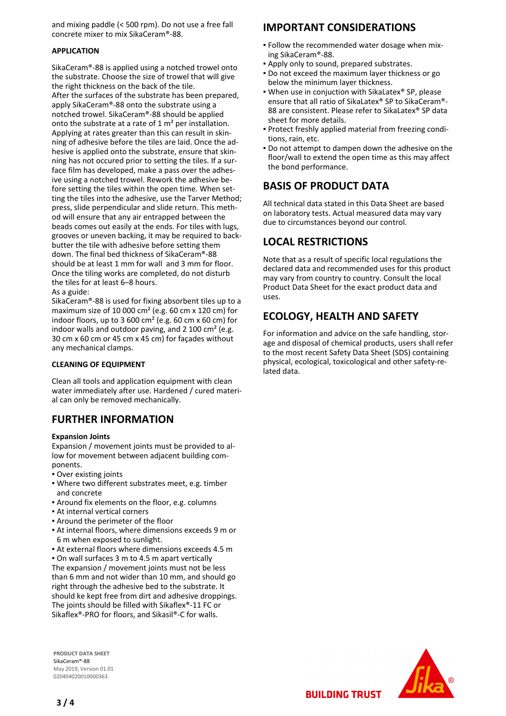and mixing paddle (< 500 rpm). Do not use a free fall concrete mixer to mix SikaCeram®-88.

#### **APPLICATION**

SikaCeram®-88 is applied using a notched trowel onto the substrate. Choose the size of trowel that will give the right thickness on the back of the tile. After the surfaces of the substrate has been prepared, apply SikaCeram®-88 onto the substrate using a notched trowel. SikaCeram®-88 should be applied onto the substrate at a rate of  $1 \text{ m}^2$  per installation. Applying at rates greater than this can result in skinning of adhesive before the tiles are laid. Once the adhesive is applied onto the substrate, ensure that skinning has not occured prior to setting the tiles. If a surface film has developed, make a pass over the adhesive using a notched trowel. Rework the adhesive before setting the tiles within the open time. When setting the tiles into the adhesive, use the Tarver Method; press, slide perpendicular and slide return. This method will ensure that any air entrapped between the beads comes out easily at the ends. For tiles with lugs, grooves or uneven backing, it may be required to backbutter the tile with adhesive before setting them down. The final bed thickness of SikaCeram®-88 should be at least 1 mm for wall and 3 mm for floor. Once the tiling works are completed, do not disturb the tiles for at least 6–8 hours. As a guide:

SikaCeram®-88 is used for fixing absorbent tiles up to a maximum size of 10 000 cm² (e.g. 60 cm x 120 cm) for indoor floors, up to 3 600  $\text{cm}^2$  (e.g. 60  $\text{cm}$  x 60  $\text{cm}$ ) for indoor walls and outdoor paving, and  $2$  100 cm<sup>2</sup> (e.g. 30 cm x 60 cm or 45 cm x 45 cm) for façades without any mechanical clamps.

#### **CLEANING OF EQUIPMENT**

Clean all tools and application equipment with clean water immediately after use. Hardened / cured material can only be removed mechanically.

#### **FURTHER INFORMATION**

#### **Expansion Joints**

Expansion / movement joints must be provided to allow for movement between adjacent building components.

- Over existing joints
- . Where two different substrates meet, e.g. timber and concrete
- Around fix elements on the floor, e.g. columns
- **At internal vertical corners**
- Around the perimeter of the floor
- At internal floors, where dimensions exceeds 9 m or 6 m when exposed to sunlight.
- At external floors where dimensions exceeds 4.5 m

▪ On wall surfaces 3 m to 4.5 m apart vertically The expansion / movement joints must not be less than 6 mm and not wider than 10 mm, and should go right through the adhesive bed to the substrate. It should ke kept free from dirt and adhesive droppings. The joints should be filled with Sikaflex®-11 FC or Sikaflex®-PRO for floors, and Sikasil®-C for walls.

**PRODUCT DATA SHEET** SikaCeram®-88 May 2019, Version 01.01 020404020010000363

# **3 / 4**

# **IMPORTANT CONSIDERATIONS**

- Follow the recommended water dosage when mix-▪ ing SikaCeram®-88.
- Apply only to sound, prepared substrates.
- **-** Do not exceed the maximum layer thickness or go below the minimum layer thickness.
- When use in conjuction with SikaLatex® SP, please ensure that all ratio of SikaLatex® SP to SikaCeram®- 88 are consistent. Please refer to SikaLatex® SP data sheet for more details.
- Protect freshly applied material from freezing condi-▪ tions, rain, etc.
- Do not attempt to dampen down the adhesive on the floor/wall to extend the open time as this may affect the bond performance.

# **BASIS OF PRODUCT DATA**

All technical data stated in this Data Sheet are based on laboratory tests. Actual measured data may vary due to circumstances beyond our control.

# **LOCAL RESTRICTIONS**

Note that as a result of specific local regulations the declared data and recommended uses for this product may vary from country to country. Consult the local Product Data Sheet for the exact product data and uses.

# **ECOLOGY, HEALTH AND SAFETY**

For information and advice on the safe handling, storage and disposal of chemical products, users shall refer to the most recent Safety Data Sheet (SDS) containing physical, ecological, toxicological and other safety-related data.